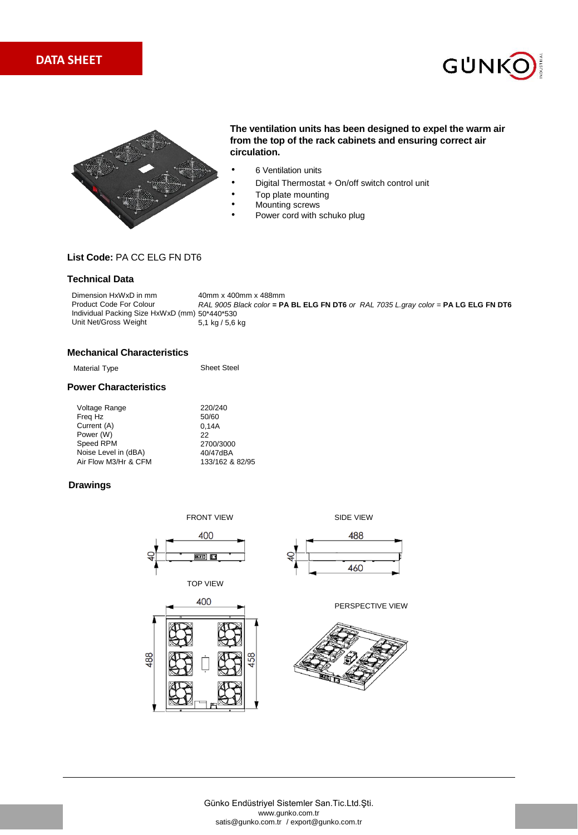





# **The ventilation units has been designed to expel the warm air from the top of the rack cabinets and ensuring correct air circulation.**

- 6 Ventilation units
- Digital Thermostat + On/off switch control unit
- Top plate mounting
- Mounting screws
- Power cord with schuko plug

# **List Code:** PA CC ELG FN DT6

# **Technical Data**

40mm x 400mm x 488mm *RAL 9005 Black color =* **PA BL ELG FN DT6** *or RAL 7035 L.gray color =* **PA LG ELG FN DT6**  Individual Packing Size HxWxD (mm) 50\*440\*530 5,1 kg / 5,6 kg Dimension HxWxD in mm Product Code For Colour Unit Net/Gross Weight

## **Mechanical Characteristics**

| Material Type                | <b>Sheet Steel</b> |
|------------------------------|--------------------|
| <b>Power Characteristics</b> |                    |
| Voltage Range                | 220/240            |
| Freg Hz                      | 50/60              |
| Current (A)                  | 0.14A              |
| Power (W)                    | 22                 |
| Speed RPM                    | 2700/3000          |
| Noise Level in (dBA)         | 40/47dBA           |
| Air Flow M3/Hr & CFM         | 133/162 & 82/95    |

## **Drawings**







488

460





Günko Endüstriyel Sistemler San.Tic.Ltd.Şti. www.gunko.com.tr satis@gunko.com.tr / export@gunko.com.tr